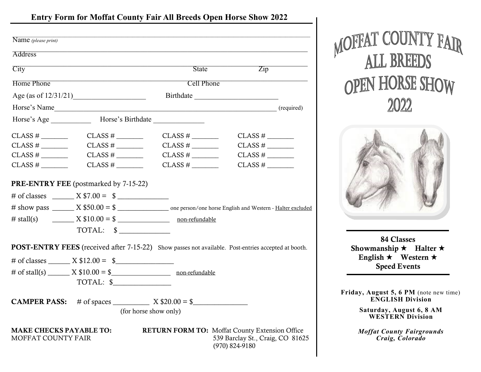# **Entry Form for Moffat County Fair All Breeds Open Horse Show 2022**

| Name (please print)                                                                                                                         |                                                                                     |                                                                                                                       |                                                                                                                 |  |
|---------------------------------------------------------------------------------------------------------------------------------------------|-------------------------------------------------------------------------------------|-----------------------------------------------------------------------------------------------------------------------|-----------------------------------------------------------------------------------------------------------------|--|
| <b>Address</b>                                                                                                                              |                                                                                     | <u> 1989 - Johann Johann Stoff, deutscher Stoffen und der Stoffen und der Stoffen und der Stoffen und der Stoffen</u> |                                                                                                                 |  |
| City                                                                                                                                        |                                                                                     | State                                                                                                                 | $\overline{Zip}$                                                                                                |  |
| <u> 1950 - Johann John Stone, mars et al. 1950 - John Stone, mars et al. 1950 - John Stone, mars et al. 1950 - John Stone</u><br>Home Phone |                                                                                     | <b>Cell Phone</b>                                                                                                     |                                                                                                                 |  |
| Age (as of $12/31/21$ )                                                                                                                     |                                                                                     |                                                                                                                       |                                                                                                                 |  |
|                                                                                                                                             |                                                                                     |                                                                                                                       |                                                                                                                 |  |
|                                                                                                                                             |                                                                                     |                                                                                                                       |                                                                                                                 |  |
| $CLASS #$ <sub>__________</sub>                                                                                                             | $CLASS #$ <sub>__________</sub>                                                     | $CLASS # _______$                                                                                                     | $CLASS #$ <sub>__________</sub>                                                                                 |  |
|                                                                                                                                             | $CLASS #$ <sub>__________</sub>                                                     | CLASS #                                                                                                               | $CLASS #$ <sub>_________</sub>                                                                                  |  |
| $\text{CLASS} \#$ <sub>__________</sub>                                                                                                     | $CLASS \#$                                                                          | $CLASS #$ <sub>__________</sub>                                                                                       | $CLASS #$ ——                                                                                                    |  |
| $CLASS #$ <sub>_________</sub>                                                                                                              | $CLASS \#$                                                                          |                                                                                                                       | $CLASS #$ <sub>_________</sub>                                                                                  |  |
|                                                                                                                                             | <b>PRE-ENTRY FEE</b> (postmarked by 7-15-22)                                        |                                                                                                                       |                                                                                                                 |  |
|                                                                                                                                             |                                                                                     |                                                                                                                       |                                                                                                                 |  |
|                                                                                                                                             |                                                                                     |                                                                                                                       |                                                                                                                 |  |
|                                                                                                                                             | $\#$ stall(s) $\qquad \qquad \_$ $X \$10.00 = \$$ $\qquad \qquad \_$ non-refundable |                                                                                                                       |                                                                                                                 |  |
|                                                                                                                                             | TOTAL: \$                                                                           |                                                                                                                       |                                                                                                                 |  |
|                                                                                                                                             |                                                                                     |                                                                                                                       | <b>POST-ENTRY FEES</b> (received after 7-15-22) Show passes not available. Post-entries accepted at booth.      |  |
|                                                                                                                                             |                                                                                     |                                                                                                                       |                                                                                                                 |  |
|                                                                                                                                             |                                                                                     |                                                                                                                       |                                                                                                                 |  |
|                                                                                                                                             | TOTAL: \$                                                                           |                                                                                                                       |                                                                                                                 |  |
|                                                                                                                                             | <b>CAMPER PASS:</b> # of spaces X \$20.00 = \$                                      |                                                                                                                       |                                                                                                                 |  |
|                                                                                                                                             |                                                                                     | (for horse show only)                                                                                                 |                                                                                                                 |  |
| MOFFAT COUNTY FAIR                                                                                                                          | <b>MAKE CHECKS PAYABLE TO:</b>                                                      |                                                                                                                       | <b>RETURN FORM TO:</b> Moffat County Extension Office<br>539 Barclay St., Craig, CO 81625<br>$(970) 824 - 9180$ |  |





84 Classes Showmanship  $\star$  Halter  $\star$ English  $\star$  Western  $\star$ Speed Events

**Friday, August 5, 6 PM** (note new time) **ENGLISH Division**

> **Saturday, August 6, 8 AM WESTERN Division**

*Moffat County Fairgrounds Craig, Colorado*